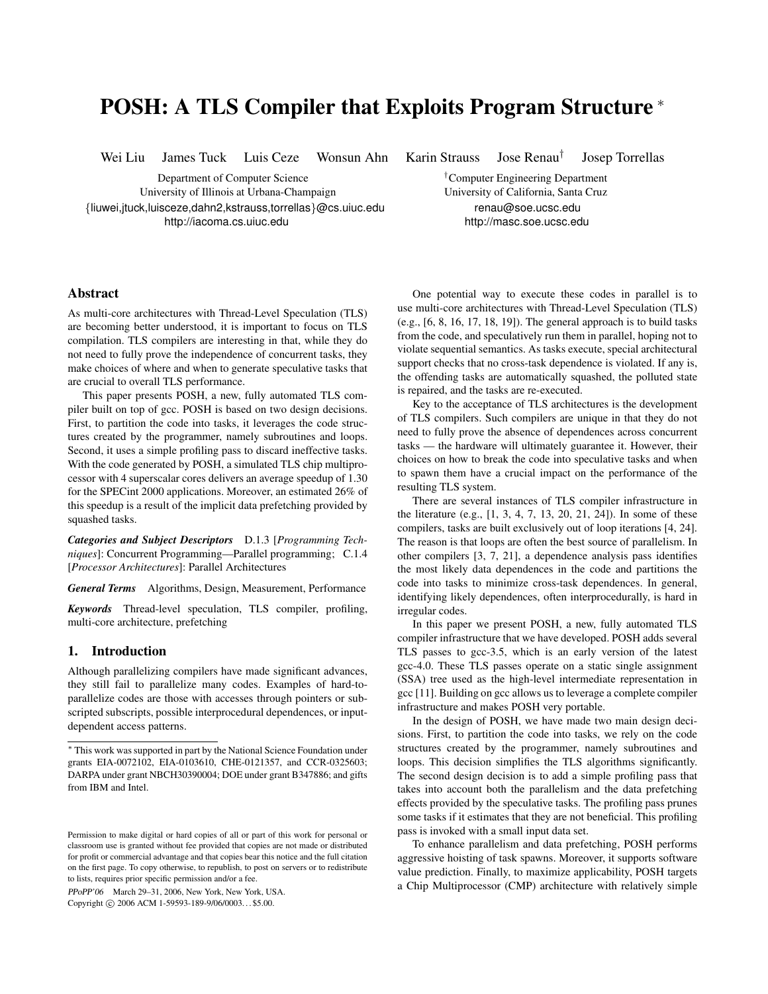# **POSH: A TLS Compiler that Exploits Program Structure** <sup>∗</sup>

Wei Liu James Tuck Luis Ceze Wonsun Ahn Karin Strauss Jose Renau†

Department of Computer Science †Computer Engineering Department University of Illinois at Urbana-Champaign University of California, Santa Cruz {liuwei,jtuck,luisceze,dahn2,kstrauss,torrellas}@cs.uiuc.edu renau@soe.ucsc.edu http://iacoma.cs.uiuc.edu http://masc.soe.ucsc.edu

**Abstract**

As multi-core architectures with Thread-Level Speculation (TLS) are becoming better understood, it is important to focus on TLS compilation. TLS compilers are interesting in that, while they do not need to fully prove the independence of concurrent tasks, they make choices of where and when to generate speculative tasks that are crucial to overall TLS performance.

This paper presents POSH, a new, fully automated TLS compiler built on top of gcc. POSH is based on two design decisions. First, to partition the code into tasks, it leverages the code structures created by the programmer, namely subroutines and loops. Second, it uses a simple profiling pass to discard ineffective tasks. With the code generated by POSH, a simulated TLS chip multiprocessor with 4 superscalar cores delivers an average speedup of 1.30 for the SPECint 2000 applications. Moreover, an estimated 26% of this speedup is a result of the implicit data prefetching provided by squashed tasks.

*Categories and Subject Descriptors* D.1.3 [*Programming Techniques*]: Concurrent Programming—Parallel programming; C.1.4 [*Processor Architectures*]: Parallel Architectures

*General Terms* Algorithms, Design, Measurement, Performance

*Keywords* Thread-level speculation, TLS compiler, profiling, multi-core architecture, prefetching

## **1. Introduction**

Although parallelizing compilers have made significant advances, they still fail to parallelize many codes. Examples of hard-toparallelize codes are those with accesses through pointers or subscripted subscripts, possible interprocedural dependences, or inputdependent access patterns.

PPoPP'06 March 29–31, 2006, New York, New York, USA. Copyright © 2006 ACM 1-59593-189-9/06/0003... \$5.00.

Josep Torrellas

One potential way to execute these codes in parallel is to use multi-core architectures with Thread-Level Speculation (TLS) (e.g., [6, 8, 16, 17, 18, 19]). The general approach is to build tasks from the code, and speculatively run them in parallel, hoping not to violate sequential semantics. As tasks execute, special architectural support checks that no cross-task dependence is violated. If any is, the offending tasks are automatically squashed, the polluted state is repaired, and the tasks are re-executed.

Key to the acceptance of TLS architectures is the development of TLS compilers. Such compilers are unique in that they do not need to fully prove the absence of dependences across concurrent tasks — the hardware will ultimately guarantee it. However, their choices on how to break the code into speculative tasks and when to spawn them have a crucial impact on the performance of the resulting TLS system.

There are several instances of TLS compiler infrastructure in the literature (e.g., [1, 3, 4, 7, 13, 20, 21, 24]). In some of these compilers, tasks are built exclusively out of loop iterations [4, 24]. The reason is that loops are often the best source of parallelism. In other compilers [3, 7, 21], a dependence analysis pass identifies the most likely data dependences in the code and partitions the code into tasks to minimize cross-task dependences. In general, identifying likely dependences, often interprocedurally, is hard in irregular codes.

In this paper we present POSH, a new, fully automated TLS compiler infrastructure that we have developed. POSH adds several TLS passes to gcc-3.5, which is an early version of the latest gcc-4.0. These TLS passes operate on a static single assignment (SSA) tree used as the high-level intermediate representation in gcc [11]. Building on gcc allows us to leverage a complete compiler infrastructure and makes POSH very portable.

In the design of POSH, we have made two main design decisions. First, to partition the code into tasks, we rely on the code structures created by the programmer, namely subroutines and loops. This decision simplifies the TLS algorithms significantly. The second design decision is to add a simple profiling pass that takes into account both the parallelism and the data prefetching effects provided by the speculative tasks. The profiling pass prunes some tasks if it estimates that they are not beneficial. This profiling pass is invoked with a small input data set.

To enhance parallelism and data prefetching, POSH performs aggressive hoisting of task spawns. Moreover, it supports software value prediction. Finally, to maximize applicability, POSH targets a Chip Multiprocessor (CMP) architecture with relatively simple

<sup>∗</sup> This work was supported in part by the National Science Foundation under grants EIA-0072102, EIA-0103610, CHE-0121357, and CCR-0325603; DARPA under grant NBCH30390004; DOE under grant B347886; and gifts from IBM and Intel.

Permission to make digital or hard copies of all or part of this work for personal or classroom use is granted without fee provided that copies are not made or distributed for profit or commercial advantage and that copies bear this notice and the full citation on the first page. To copy otherwise, to republish, to post on servers or to redistribute to lists, requires prior specific permission and/or a fee.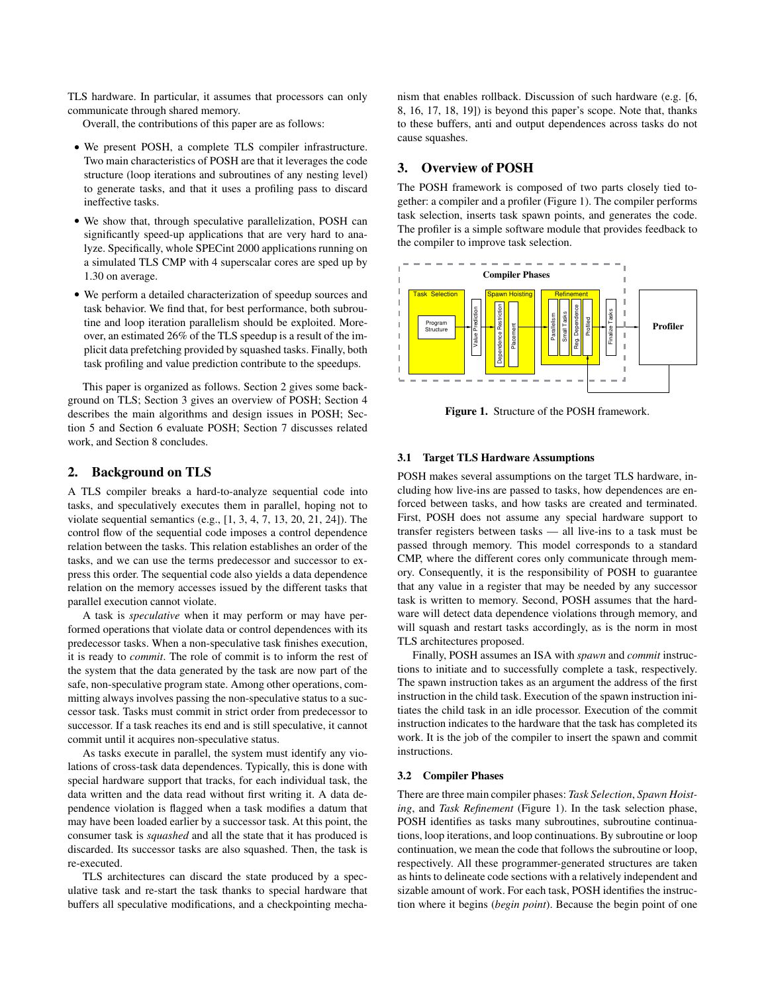TLS hardware. In particular, it assumes that processors can only communicate through shared memory.

Overall, the contributions of this paper are as follows:

- We present POSH, a complete TLS compiler infrastructure. Two main characteristics of POSH are that it leverages the code structure (loop iterations and subroutines of any nesting level) to generate tasks, and that it uses a profiling pass to discard ineffective tasks.
- We show that, through speculative parallelization, POSH can significantly speed-up applications that are very hard to analyze. Specifically, whole SPECint 2000 applications running on a simulated TLS CMP with 4 superscalar cores are sped up by 1.30 on average.
- We perform a detailed characterization of speedup sources and task behavior. We find that, for best performance, both subroutine and loop iteration parallelism should be exploited. Moreover, an estimated 26% of the TLS speedup is a result of the implicit data prefetching provided by squashed tasks. Finally, both task profiling and value prediction contribute to the speedups.

This paper is organized as follows. Section 2 gives some background on TLS; Section 3 gives an overview of POSH; Section 4 describes the main algorithms and design issues in POSH; Section 5 and Section 6 evaluate POSH; Section 7 discusses related work, and Section 8 concludes.

# **2. Background on TLS**

A TLS compiler breaks a hard-to-analyze sequential code into tasks, and speculatively executes them in parallel, hoping not to violate sequential semantics (e.g., [1, 3, 4, 7, 13, 20, 21, 24]). The control flow of the sequential code imposes a control dependence relation between the tasks. This relation establishes an order of the tasks, and we can use the terms predecessor and successor to express this order. The sequential code also yields a data dependence relation on the memory accesses issued by the different tasks that parallel execution cannot violate.

A task is *speculative* when it may perform or may have performed operations that violate data or control dependences with its predecessor tasks. When a non-speculative task finishes execution, it is ready to *commit*. The role of commit is to inform the rest of the system that the data generated by the task are now part of the safe, non-speculative program state. Among other operations, committing always involves passing the non-speculative status to a successor task. Tasks must commit in strict order from predecessor to successor. If a task reaches its end and is still speculative, it cannot commit until it acquires non-speculative status.

As tasks execute in parallel, the system must identify any violations of cross-task data dependences. Typically, this is done with special hardware support that tracks, for each individual task, the data written and the data read without first writing it. A data dependence violation is flagged when a task modifies a datum that may have been loaded earlier by a successor task. At this point, the consumer task is *squashed* and all the state that it has produced is discarded. Its successor tasks are also squashed. Then, the task is re-executed.

TLS architectures can discard the state produced by a speculative task and re-start the task thanks to special hardware that buffers all speculative modifications, and a checkpointing mechanism that enables rollback. Discussion of such hardware (e.g. [6, 8, 16, 17, 18, 19]) is beyond this paper's scope. Note that, thanks to these buffers, anti and output dependences across tasks do not cause squashes.

# **3. Overview of POSH**

The POSH framework is composed of two parts closely tied together: a compiler and a profiler (Figure 1). The compiler performs task selection, inserts task spawn points, and generates the code. The profiler is a simple software module that provides feedback to the compiler to improve task selection.



**Figure 1.** Structure of the POSH framework.

### **3.1 Target TLS Hardware Assumptions**

POSH makes several assumptions on the target TLS hardware, including how live-ins are passed to tasks, how dependences are enforced between tasks, and how tasks are created and terminated. First, POSH does not assume any special hardware support to transfer registers between tasks — all live-ins to a task must be passed through memory. This model corresponds to a standard CMP, where the different cores only communicate through memory. Consequently, it is the responsibility of POSH to guarantee that any value in a register that may be needed by any successor task is written to memory. Second, POSH assumes that the hardware will detect data dependence violations through memory, and will squash and restart tasks accordingly, as is the norm in most TLS architectures proposed.

Finally, POSH assumes an ISA with *spawn* and *commit* instructions to initiate and to successfully complete a task, respectively. The spawn instruction takes as an argument the address of the first instruction in the child task. Execution of the spawn instruction initiates the child task in an idle processor. Execution of the commit instruction indicates to the hardware that the task has completed its work. It is the job of the compiler to insert the spawn and commit instructions.

#### **3.2 Compiler Phases**

There are three main compiler phases: *Task Selection*, *Spawn Hoisting*, and *Task Refinement* (Figure 1). In the task selection phase, POSH identifies as tasks many subroutines, subroutine continuations, loop iterations, and loop continuations. By subroutine or loop continuation, we mean the code that follows the subroutine or loop, respectively. All these programmer-generated structures are taken as hints to delineate code sections with a relatively independent and sizable amount of work. For each task, POSH identifies the instruction where it begins (*begin point*). Because the begin point of one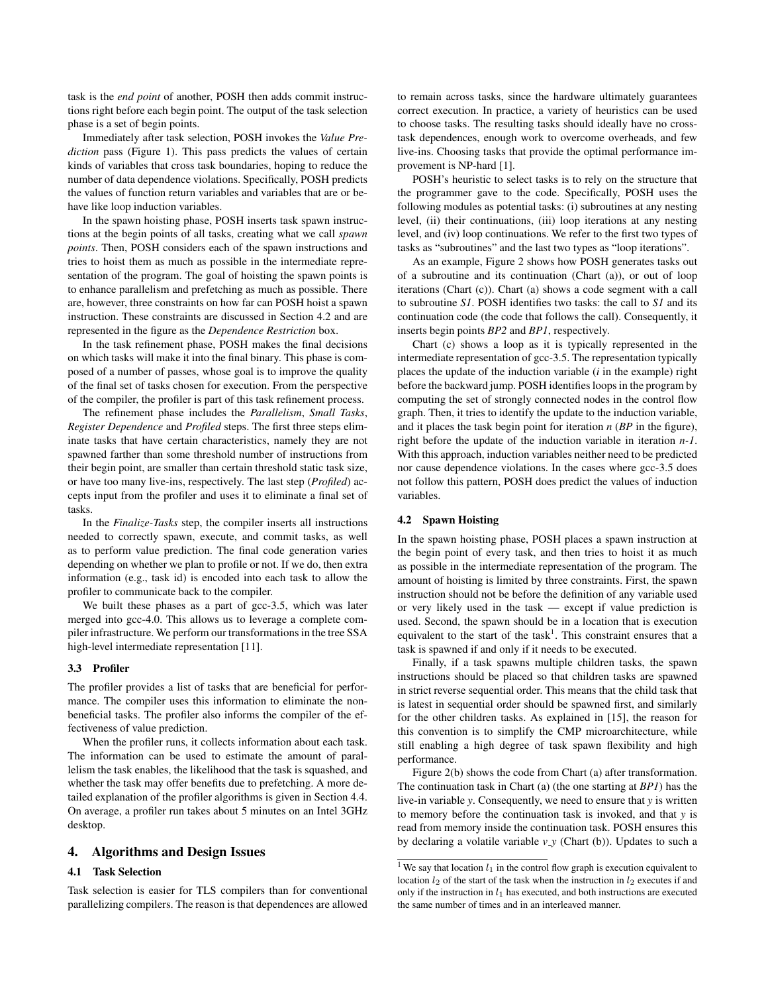task is the *end point* of another, POSH then adds commit instructions right before each begin point. The output of the task selection phase is a set of begin points.

Immediately after task selection, POSH invokes the *Value Prediction* pass (Figure 1). This pass predicts the values of certain kinds of variables that cross task boundaries, hoping to reduce the number of data dependence violations. Specifically, POSH predicts the values of function return variables and variables that are or behave like loop induction variables.

In the spawn hoisting phase, POSH inserts task spawn instructions at the begin points of all tasks, creating what we call *spawn points*. Then, POSH considers each of the spawn instructions and tries to hoist them as much as possible in the intermediate representation of the program. The goal of hoisting the spawn points is to enhance parallelism and prefetching as much as possible. There are, however, three constraints on how far can POSH hoist a spawn instruction. These constraints are discussed in Section 4.2 and are represented in the figure as the *Dependence Restriction* box.

In the task refinement phase, POSH makes the final decisions on which tasks will make it into the final binary. This phase is composed of a number of passes, whose goal is to improve the quality of the final set of tasks chosen for execution. From the perspective of the compiler, the profiler is part of this task refinement process.

The refinement phase includes the *Parallelism*, *Small Tasks*, *Register Dependence* and *Profiled* steps. The first three steps eliminate tasks that have certain characteristics, namely they are not spawned farther than some threshold number of instructions from their begin point, are smaller than certain threshold static task size, or have too many live-ins, respectively. The last step (*Profiled*) accepts input from the profiler and uses it to eliminate a final set of tasks.

In the *Finalize-Tasks* step, the compiler inserts all instructions needed to correctly spawn, execute, and commit tasks, as well as to perform value prediction. The final code generation varies depending on whether we plan to profile or not. If we do, then extra information (e.g., task id) is encoded into each task to allow the profiler to communicate back to the compiler.

We built these phases as a part of gcc-3.5, which was later merged into gcc-4.0. This allows us to leverage a complete compiler infrastructure. We perform our transformations in the tree SSA high-level intermediate representation [11].

#### **3.3 Profiler**

The profiler provides a list of tasks that are beneficial for performance. The compiler uses this information to eliminate the nonbeneficial tasks. The profiler also informs the compiler of the effectiveness of value prediction.

When the profiler runs, it collects information about each task. The information can be used to estimate the amount of parallelism the task enables, the likelihood that the task is squashed, and whether the task may offer benefits due to prefetching. A more detailed explanation of the profiler algorithms is given in Section 4.4. On average, a profiler run takes about 5 minutes on an Intel 3GHz desktop.

# **4. Algorithms and Design Issues**

## **4.1 Task Selection**

Task selection is easier for TLS compilers than for conventional parallelizing compilers. The reason is that dependences are allowed to remain across tasks, since the hardware ultimately guarantees correct execution. In practice, a variety of heuristics can be used to choose tasks. The resulting tasks should ideally have no crosstask dependences, enough work to overcome overheads, and few live-ins. Choosing tasks that provide the optimal performance improvement is NP-hard [1].

POSH's heuristic to select tasks is to rely on the structure that the programmer gave to the code. Specifically, POSH uses the following modules as potential tasks: (i) subroutines at any nesting level, (ii) their continuations, (iii) loop iterations at any nesting level, and (iv) loop continuations. We refer to the first two types of tasks as "subroutines" and the last two types as "loop iterations".

As an example, Figure 2 shows how POSH generates tasks out of a subroutine and its continuation (Chart (a)), or out of loop iterations (Chart (c)). Chart (a) shows a code segment with a call to subroutine *S1*. POSH identifies two tasks: the call to *S1* and its continuation code (the code that follows the call). Consequently, it inserts begin points *BP2* and *BP1*, respectively.

Chart (c) shows a loop as it is typically represented in the intermediate representation of gcc-3.5. The representation typically places the update of the induction variable (*i* in the example) right before the backward jump. POSH identifies loops in the program by computing the set of strongly connected nodes in the control flow graph. Then, it tries to identify the update to the induction variable, and it places the task begin point for iteration *n* (*BP* in the figure), right before the update of the induction variable in iteration *n-1*. With this approach, induction variables neither need to be predicted nor cause dependence violations. In the cases where gcc-3.5 does not follow this pattern, POSH does predict the values of induction variables.

### **4.2 Spawn Hoisting**

In the spawn hoisting phase, POSH places a spawn instruction at the begin point of every task, and then tries to hoist it as much as possible in the intermediate representation of the program. The amount of hoisting is limited by three constraints. First, the spawn instruction should not be before the definition of any variable used or very likely used in the task — except if value prediction is used. Second, the spawn should be in a location that is execution equivalent to the start of the task<sup>1</sup>. This constraint ensures that a task is spawned if and only if it needs to be executed.

Finally, if a task spawns multiple children tasks, the spawn instructions should be placed so that children tasks are spawned in strict reverse sequential order. This means that the child task that is latest in sequential order should be spawned first, and similarly for the other children tasks. As explained in [15], the reason for this convention is to simplify the CMP microarchitecture, while still enabling a high degree of task spawn flexibility and high performance.

Figure 2(b) shows the code from Chart (a) after transformation. The continuation task in Chart (a) (the one starting at *BP1*) has the live-in variable *y*. Consequently, we need to ensure that *y* is written to memory before the continuation task is invoked, and that *y* is read from memory inside the continuation task. POSH ensures this by declaring a volatile variable  $v \, y$  (Chart (b)). Updates to such a

<sup>&</sup>lt;sup>1</sup> We say that location  $l_1$  in the control flow graph is execution equivalent to location  $l_2$  of the start of the task when the instruction in  $l_2$  executes if and only if the instruction in  $l_1$  has executed, and both instructions are executed the same number of times and in an interleaved manner.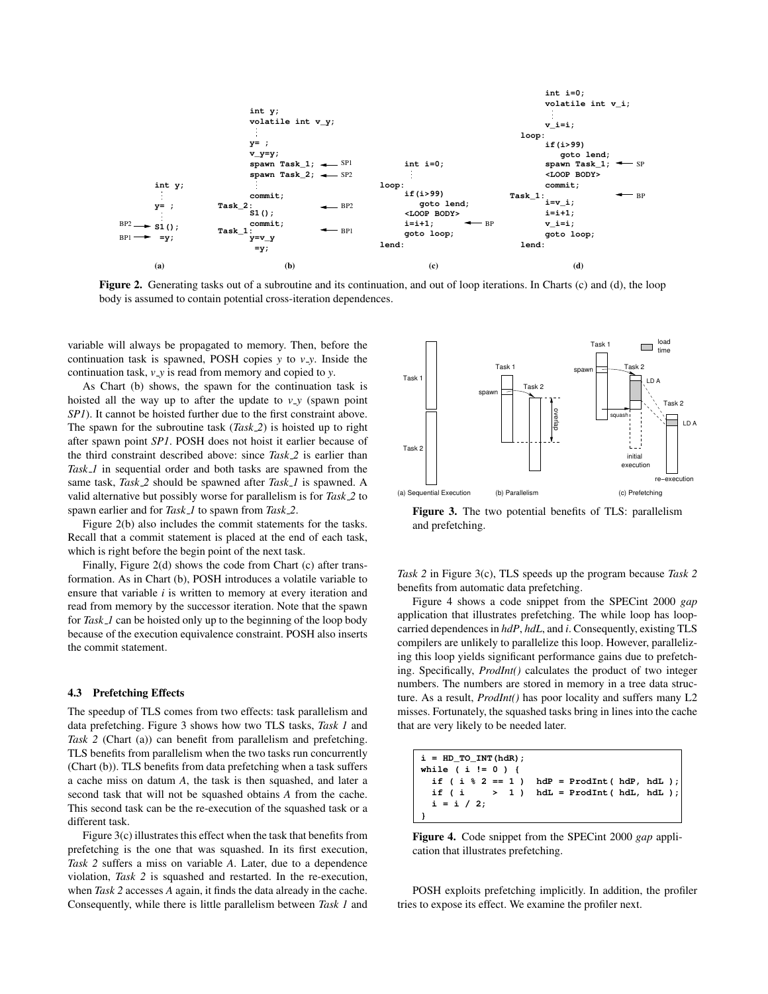

**Figure 2.** Generating tasks out of a subroutine and its continuation, and out of loop iterations. In Charts (c) and (d), the loop body is assumed to contain potential cross-iteration dependences.

variable will always be propagated to memory. Then, before the continuation task is spawned, POSH copies *y* to *v y*. Inside the continuation task, *v y* is read from memory and copied to *y*.

As Chart (b) shows, the spawn for the continuation task is hoisted all the way up to after the update to  $v_y$  (spawn point *SP1*). It cannot be hoisted further due to the first constraint above. The spawn for the subroutine task (*Task 2*) is hoisted up to right after spawn point *SP1*. POSH does not hoist it earlier because of the third constraint described above: since *Task 2* is earlier than *Task 1* in sequential order and both tasks are spawned from the same task, *Task 2* should be spawned after *Task 1* is spawned. A valid alternative but possibly worse for parallelism is for *Task 2* to spawn earlier and for *Task 1* to spawn from *Task 2*.

Figure 2(b) also includes the commit statements for the tasks. Recall that a commit statement is placed at the end of each task, which is right before the begin point of the next task.

Finally, Figure 2(d) shows the code from Chart (c) after transformation. As in Chart (b), POSH introduces a volatile variable to ensure that variable *i* is written to memory at every iteration and read from memory by the successor iteration. Note that the spawn for *Task 1* can be hoisted only up to the beginning of the loop body because of the execution equivalence constraint. POSH also inserts the commit statement.

#### **4.3 Prefetching Effects**

The speedup of TLS comes from two effects: task parallelism and data prefetching. Figure 3 shows how two TLS tasks, *Task 1* and *Task 2* (Chart (a)) can benefit from parallelism and prefetching. TLS benefits from parallelism when the two tasks run concurrently (Chart (b)). TLS benefits from data prefetching when a task suffers a cache miss on datum *A*, the task is then squashed, and later a second task that will not be squashed obtains *A* from the cache. This second task can be the re-execution of the squashed task or a different task.

Figure 3(c) illustrates this effect when the task that benefits from prefetching is the one that was squashed. In its first execution, *Task 2* suffers a miss on variable *A*. Later, due to a dependence violation, *Task 2* is squashed and restarted. In the re-execution, when *Task 2* accesses *A* again, it finds the data already in the cache. Consequently, while there is little parallelism between *Task 1* and



**Figure 3.** The two potential benefits of TLS: parallelism and prefetching.

*Task 2* in Figure 3(c), TLS speeds up the program because *Task 2* benefits from automatic data prefetching.

Figure 4 shows a code snippet from the SPECint 2000 *gap* application that illustrates prefetching. The while loop has loopcarried dependences in *hdP*, *hdL*, and *i*. Consequently, existing TLS compilers are unlikely to parallelize this loop. However, parallelizing this loop yields significant performance gains due to prefetching. Specifically, *ProdInt()* calculates the product of two integer numbers. The numbers are stored in memory in a tree data structure. As a result, *ProdInt()* has poor locality and suffers many L2 misses. Fortunately, the squashed tasks bring in lines into the cache that are very likely to be needed later.

| $i = HD TO INT(hdR);$ |                                                                    |
|-----------------------|--------------------------------------------------------------------|
| while ( $i := 0$ ) {  |                                                                    |
|                       | if ( $i \, \hat{\mathcal{S}}$ 2 == 1 ) hdP = ProdInt ( hdP, hdL ); |
|                       | if $(i > 1)$ hdL = ProdInt $(kdL, hdL)$ ;                          |
| $i = i / 2$ ;         |                                                                    |
|                       |                                                                    |

**Figure 4.** Code snippet from the SPECint 2000 *gap* application that illustrates prefetching.

POSH exploits prefetching implicitly. In addition, the profiler tries to expose its effect. We examine the profiler next.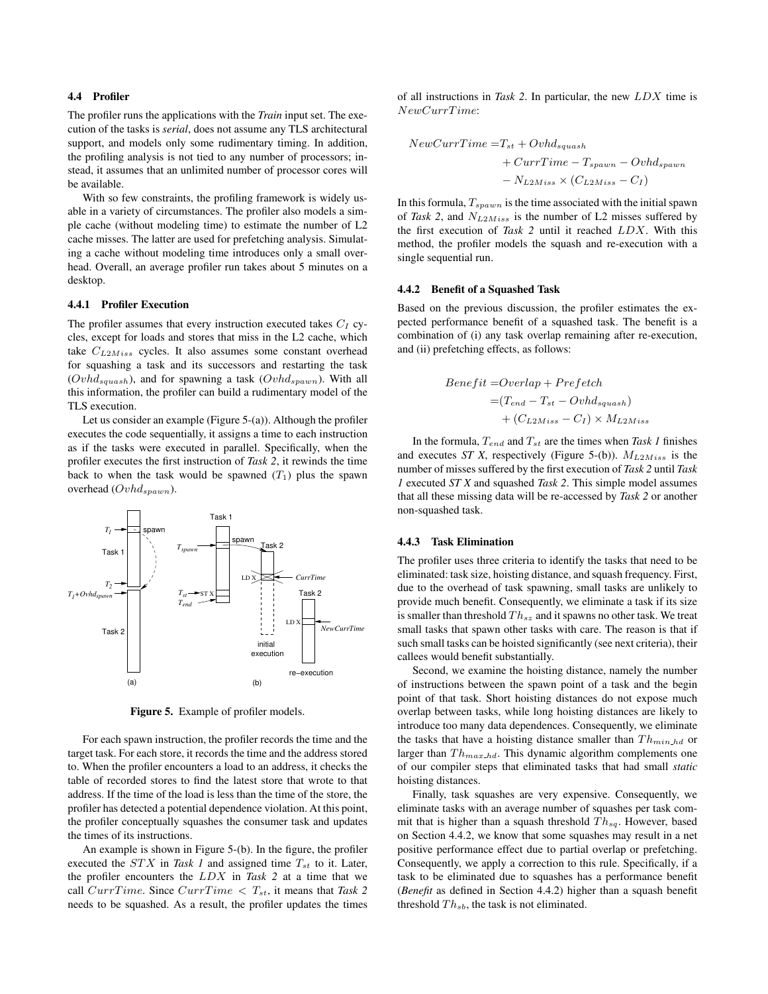## **4.4 Profiler**

The profiler runs the applications with the *Train* input set. The execution of the tasks is *serial*, does not assume any TLS architectural support, and models only some rudimentary timing. In addition, the profiling analysis is not tied to any number of processors; instead, it assumes that an unlimited number of processor cores will be available.

With so few constraints, the profiling framework is widely usable in a variety of circumstances. The profiler also models a simple cache (without modeling time) to estimate the number of L2 cache misses. The latter are used for prefetching analysis. Simulating a cache without modeling time introduces only a small overhead. Overall, an average profiler run takes about 5 minutes on a desktop.

#### **4.4.1 Profiler Execution**

The profiler assumes that every instruction executed takes  $C_I$  cycles, except for loads and stores that miss in the L2 cache, which take  $C_{L2Miss}$  cycles. It also assumes some constant overhead for squashing a task and its successors and restarting the task  $(Ovhd_{squash})$ , and for spawning a task  $(Ovhd_{spawn})$ . With all this information, the profiler can build a rudimentary model of the TLS execution.

Let us consider an example (Figure 5-(a)). Although the profiler executes the code sequentially, it assigns a time to each instruction as if the tasks were executed in parallel. Specifically, when the profiler executes the first instruction of *Task 2*, it rewinds the time back to when the task would be spawned  $(T_1)$  plus the spawn overhead  $(Ovhd_{spawn})$ .



**Figure 5.** Example of profiler models.

For each spawn instruction, the profiler records the time and the target task. For each store, it records the time and the address stored to. When the profiler encounters a load to an address, it checks the table of recorded stores to find the latest store that wrote to that address. If the time of the load is less than the time of the store, the profiler has detected a potential dependence violation. At this point, the profiler conceptually squashes the consumer task and updates the times of its instructions.

An example is shown in Figure 5-(b). In the figure, the profiler executed the  $STX$  in Task 1 and assigned time  $T_{st}$  to it. Later, the profiler encounters the LDX in *Task 2* at a time that we call  $CurrTime$ . Since  $CurrTime < T_{st}$ , it means that *Task 2* needs to be squashed. As a result, the profiler updates the times

of all instructions in *Task 2*. In particular, the new LDX time is NewCurrTime:

$$
NewCurrent Time = T_{st} + Ovhd_{squash}
$$
  
+ 
$$
CurrTime - T_{spawn} - Ovhd_{spawn}
$$
  
- 
$$
N_{L2Miss} \times (C_{L2Miss} - C_I)
$$

In this formula,  $T_{spam}$  is the time associated with the initial spawn of *Task 2*, and  $N_{L2Miss}$  is the number of L2 misses suffered by the first execution of *Task 2* until it reached LDX. With this method, the profiler models the squash and re-execution with a single sequential run.

## **4.4.2 Benefit of a Squashed Task**

Based on the previous discussion, the profiler estimates the expected performance benefit of a squashed task. The benefit is a combination of (i) any task overlap remaining after re-execution, and (ii) prefetching effects, as follows:

$$
Benefit = Overlap + Prefetch
$$
  
=  $(T_{end} - T_{st} - Ovhd_{squash})$   
+  $(C_{L2Miss} - C_I) \times M_{L2Miss}$ 

In the formula,  $T_{end}$  and  $T_{st}$  are the times when *Task 1* finishes and executes *ST X*, respectively (Figure 5-(b)).  $M_{L2Miss}$  is the number of misses suffered by the first execution of *Task 2* until *Task 1* executed *ST X* and squashed *Task 2*. This simple model assumes that all these missing data will be re-accessed by *Task 2* or another non-squashed task.

#### **4.4.3 Task Elimination**

The profiler uses three criteria to identify the tasks that need to be eliminated: task size, hoisting distance, and squash frequency. First, due to the overhead of task spawning, small tasks are unlikely to provide much benefit. Consequently, we eliminate a task if its size is smaller than threshold  $Th_{sz}$  and it spawns no other task. We treat small tasks that spawn other tasks with care. The reason is that if such small tasks can be hoisted significantly (see next criteria), their callees would benefit substantially.

Second, we examine the hoisting distance, namely the number of instructions between the spawn point of a task and the begin point of that task. Short hoisting distances do not expose much overlap between tasks, while long hoisting distances are likely to introduce too many data dependences. Consequently, we eliminate the tasks that have a hoisting distance smaller than  $Th_{min h d}$  or larger than  $Th_{max h d}$ . This dynamic algorithm complements one of our compiler steps that eliminated tasks that had small *static* hoisting distances.

Finally, task squashes are very expensive. Consequently, we eliminate tasks with an average number of squashes per task commit that is higher than a squash threshold  $Th_{sq}$ . However, based on Section 4.4.2, we know that some squashes may result in a net positive performance effect due to partial overlap or prefetching. Consequently, we apply a correction to this rule. Specifically, if a task to be eliminated due to squashes has a performance benefit (*Benefit* as defined in Section 4.4.2) higher than a squash benefit threshold  $Th_{sb}$ , the task is not eliminated.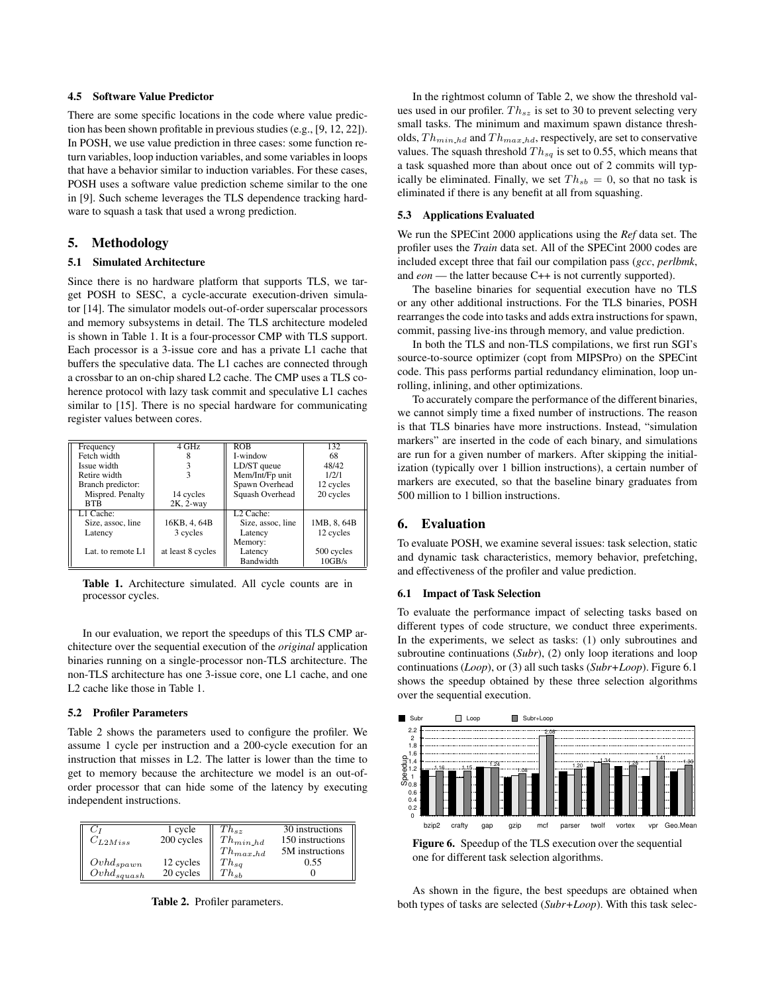# **4.5 Software Value Predictor**

There are some specific locations in the code where value prediction has been shown profitable in previous studies (e.g., [9, 12, 22]). In POSH, we use value prediction in three cases: some function return variables, loop induction variables, and some variables in loops that have a behavior similar to induction variables. For these cases, POSH uses a software value prediction scheme similar to the one in [9]. Such scheme leverages the TLS dependence tracking hardware to squash a task that used a wrong prediction.

## **5. Methodology**

# **5.1 Simulated Architecture**

Since there is no hardware platform that supports TLS, we target POSH to SESC, a cycle-accurate execution-driven simulator [14]. The simulator models out-of-order superscalar processors and memory subsystems in detail. The TLS architecture modeled is shown in Table 1. It is a four-processor CMP with TLS support. Each processor is a 3-issue core and has a private L1 cache that buffers the speculative data. The L1 caches are connected through a crossbar to an on-chip shared L2 cache. The CMP uses a TLS coherence protocol with lazy task commit and speculative L1 caches similar to [15]. There is no special hardware for communicating register values between cores.

| Frequency         | 4 GHz             | <b>ROB</b>            | 132         |
|-------------------|-------------------|-----------------------|-------------|
| Fetch width       |                   | I-window              | 68          |
| Issue width       |                   | LD/ST queue           | 48/42       |
| Retire width      |                   | Mem/Int/Fp unit       | 1/2/1       |
| Branch predictor: |                   | Spawn Overhead        | 12 cycles   |
| Mispred. Penalty  | 14 cycles         | Squash Overhead       | 20 cycles   |
| <b>BTB</b>        | $2K$ , $2$ -way   |                       |             |
| L1 Cache:         |                   | L <sub>2</sub> Cache: |             |
| Size, assoc, line | 16KB, 4, 64B      | Size, assoc, line     | 1MB, 8, 64B |
| Latency           | 3 cycles          | Latency               | 12 cycles   |
|                   |                   | Memory:               |             |
| Lat. to remote L1 | at least 8 cycles | Latency               | 500 cycles  |
|                   |                   | Bandwidth             | 10GB/s      |

**Table 1.** Architecture simulated. All cycle counts are in processor cycles.

In our evaluation, we report the speedups of this TLS CMP architecture over the sequential execution of the *original* application binaries running on a single-processor non-TLS architecture. The non-TLS architecture has one 3-issue core, one L1 cache, and one L2 cache like those in Table 1.

#### **5.2 Profiler Parameters**

Table 2 shows the parameters used to configure the profiler. We assume 1 cycle per instruction and a 200-cycle execution for an instruction that misses in L2. The latter is lower than the time to get to memory because the architecture we model is an out-oforder processor that can hide some of the latency by executing independent instructions.

| $C_{L2Miss}$    | 1 cycle<br>200 cycles  | $Th_{sz}$<br>$Th_{min.hd}$ | 30 instructions<br>150 instructions |
|-----------------|------------------------|----------------------------|-------------------------------------|
|                 |                        | $Th_{max\_hd}$             | 5M instructions                     |
| $Ovhd_{spawn}$  | 12 cycles<br>20 cycles | $Th_{sa}$                  | 0.55                                |
| $Ovhd_{sauash}$ |                        | $Th_{sb}$                  |                                     |

**Table 2.** Profiler parameters.

In the rightmost column of Table 2, we show the threshold values used in our profiler.  $Th_{sz}$  is set to 30 to prevent selecting very small tasks. The minimum and maximum spawn distance thresholds,  $Th_{min h d}$  and  $Th_{max h d}$ , respectively, are set to conservative values. The squash threshold  $Th_{sq}$  is set to 0.55, which means that a task squashed more than about once out of 2 commits will typically be eliminated. Finally, we set  $Th_{sb} = 0$ , so that no task is eliminated if there is any benefit at all from squashing.

## **5.3 Applications Evaluated**

We run the SPECint 2000 applications using the *Ref* data set. The profiler uses the *Train* data set. All of the SPECint 2000 codes are included except three that fail our compilation pass (*gcc*, *perlbmk*, and *eon* — the latter because C++ is not currently supported).

The baseline binaries for sequential execution have no TLS or any other additional instructions. For the TLS binaries, POSH rearranges the code into tasks and adds extra instructions for spawn, commit, passing live-ins through memory, and value prediction.

In both the TLS and non-TLS compilations, we first run SGI's source-to-source optimizer (copt from MIPSPro) on the SPECint code. This pass performs partial redundancy elimination, loop unrolling, inlining, and other optimizations.

To accurately compare the performance of the different binaries, we cannot simply time a fixed number of instructions. The reason is that TLS binaries have more instructions. Instead, "simulation markers" are inserted in the code of each binary, and simulations are run for a given number of markers. After skipping the initialization (typically over 1 billion instructions), a certain number of markers are executed, so that the baseline binary graduates from 500 million to 1 billion instructions.

# **6. Evaluation**

To evaluate POSH, we examine several issues: task selection, static and dynamic task characteristics, memory behavior, prefetching, and effectiveness of the profiler and value prediction.

# **6.1 Impact of Task Selection**

To evaluate the performance impact of selecting tasks based on different types of code structure, we conduct three experiments. In the experiments, we select as tasks: (1) only subroutines and subroutine continuations (*Subr*), (2) only loop iterations and loop continuations (*Loop*), or (3) all such tasks (*Subr+Loop*). Figure 6.1 shows the speedup obtained by these three selection algorithms over the sequential execution.



**Figure 6.** Speedup of the TLS execution over the sequential one for different task selection algorithms.

As shown in the figure, the best speedups are obtained when both types of tasks are selected (*Subr+Loop*). With this task selec-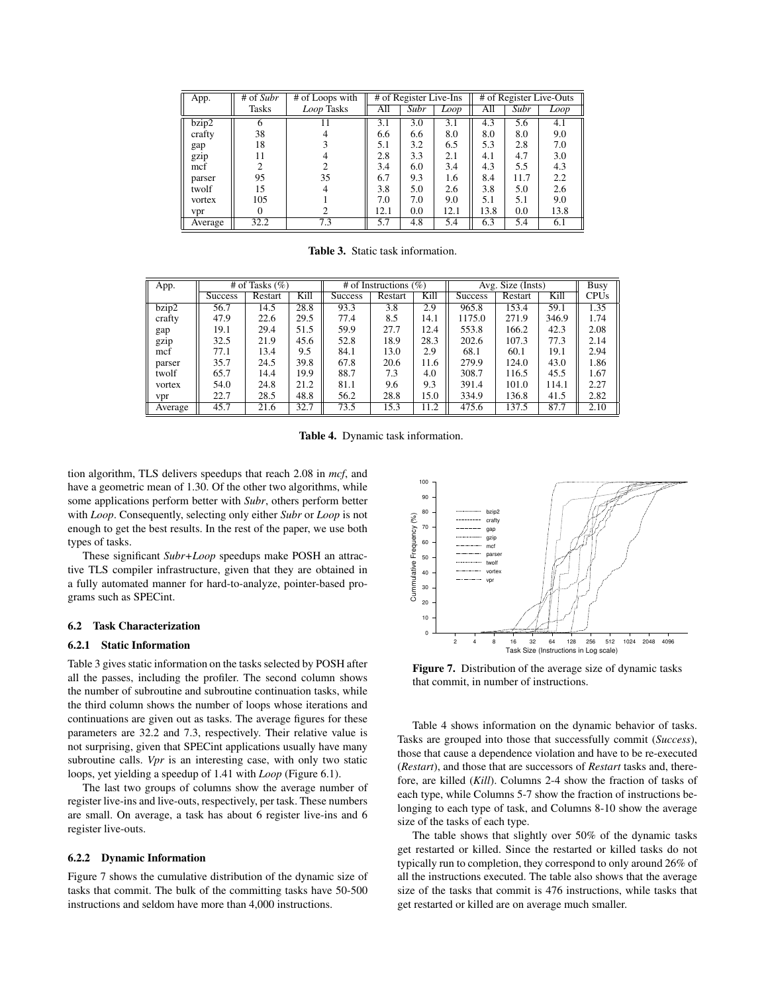| App.    | $#$ of Subr    | # of Loops with | # of Register Live-Ins |      |      | # of Register Live-Outs |      |      |
|---------|----------------|-----------------|------------------------|------|------|-------------------------|------|------|
|         | <b>Tasks</b>   | Loop Tasks      | All                    | Subr | Loop | All                     | Subr | Loop |
| bzip2   | O              |                 | 3.1                    | 3.0  | 3.1  | 4.3                     | 5.6  | 4.1  |
| crafty  | 38             |                 | 6.6                    | 6.6  | 8.0  | 8.0                     | 8.0  | 9.0  |
| gap     | 18             |                 | 5.1                    | 3.2  | 6.5  | 5.3                     | 2.8  | 7.0  |
| gzip    | 11             |                 | 2.8                    | 3.3  | 2.1  | 4.1                     | 4.7  | 3.0  |
| mcf     | $\overline{c}$ |                 | 3.4                    | 6.0  | 3.4  | 4.3                     | 5.5  | 4.3  |
| parser  | 95             | 35              | 6.7                    | 9.3  | 1.6  | 8.4                     | 11.7 | 2.2  |
| twolf   | 15             |                 | 3.8                    | 5.0  | 2.6  | 3.8                     | 5.0  | 2.6  |
| vortex  | 105            |                 | 7.0                    | 7.0  | 9.0  | 5.1                     | 5.1  | 9.0  |
| vpr     | $\mathbf{0}$   |                 | 12.1                   | 0.0  | 12.1 | 13.8                    | 0.0  | 13.8 |
| Average | 32.2           | 7.3             | 5.7                    | 4.8  | 5.4  | 6.3                     | 5.4  | 6.1  |

**Table 3.** Static task information.

| App.    |                | $#$ of Tasks $(\%)$ |      | # of Instructions $(\% )$ |         | Avg. Size (Insts) |                |         | Busy  |             |
|---------|----------------|---------------------|------|---------------------------|---------|-------------------|----------------|---------|-------|-------------|
|         | <b>Success</b> | Restart             | Kill | <b>Success</b>            | Restart | Kill              | <b>Success</b> | Restart | Kill  | <b>CPUs</b> |
| bzip2   | 56.7           | 14.5                | 28.8 | 93.3                      | 3.8     | 2.9               | 965.8          | 153.4   | 59.1  | 1.35        |
| crafty  | 47.9           | 22.6                | 29.5 | 77.4                      | 8.5     | 14.1              | 1175.0         | 271.9   | 346.9 | 1.74        |
| gap     | 19.1           | 29.4                | 51.5 | 59.9                      | 27.7    | 12.4              | 553.8          | 166.2   | 42.3  | 2.08        |
| gzip    | 32.5           | 21.9                | 45.6 | 52.8                      | 18.9    | 28.3              | 202.6          | 107.3   | 77.3  | 2.14        |
| mcf     | 77.1           | 13.4                | 9.5  | 84.1                      | 13.0    | 2.9               | 68.1           | 60.1    | 19.1  | 2.94        |
| parser  | 35.7           | 24.5                | 39.8 | 67.8                      | 20.6    | 11.6              | 279.9          | 124.0   | 43.0  | 1.86        |
| twolf   | 65.7           | 14.4                | 19.9 | 88.7                      | 7.3     | 4.0               | 308.7          | 116.5   | 45.5  | 1.67        |
| vortex  | 54.0           | 24.8                | 21.2 | 81.1                      | 9.6     | 9.3               | 391.4          | 101.0   | 114.1 | 2.27        |
| vpr     | 22.7           | 28.5                | 48.8 | 56.2                      | 28.8    | 15.0              | 334.9          | 136.8   | 41.5  | 2.82        |
| Average | 45.7           | 21.6                | 32.7 | 73.5                      | 15.3    |                   | 475.6          | 137.5   | 87.7  | 2.10        |

**Table 4.** Dynamic task information.

tion algorithm, TLS delivers speedups that reach 2.08 in *mcf*, and have a geometric mean of 1.30. Of the other two algorithms, while some applications perform better with *Subr*, others perform better with *Loop*. Consequently, selecting only either *Subr* or *Loop* is not enough to get the best results. In the rest of the paper, we use both types of tasks.

These significant *Subr+Loop* speedups make POSH an attractive TLS compiler infrastructure, given that they are obtained in a fully automated manner for hard-to-analyze, pointer-based programs such as SPECint.

#### **6.2 Task Characterization**

### **6.2.1 Static Information**

Table 3 gives static information on the tasks selected by POSH after all the passes, including the profiler. The second column shows the number of subroutine and subroutine continuation tasks, while the third column shows the number of loops whose iterations and continuations are given out as tasks. The average figures for these parameters are 32.2 and 7.3, respectively. Their relative value is not surprising, given that SPECint applications usually have many subroutine calls. *Vpr* is an interesting case, with only two static loops, yet yielding a speedup of 1.41 with *Loop* (Figure 6.1).

The last two groups of columns show the average number of register live-ins and live-outs, respectively, per task. These numbers are small. On average, a task has about 6 register live-ins and 6 register live-outs.

## **6.2.2 Dynamic Information**

Figure 7 shows the cumulative distribution of the dynamic size of tasks that commit. The bulk of the committing tasks have 50-500 instructions and seldom have more than 4,000 instructions.



**Figure 7.** Distribution of the average size of dynamic tasks that commit, in number of instructions.

Table 4 shows information on the dynamic behavior of tasks. Tasks are grouped into those that successfully commit (*Success*), those that cause a dependence violation and have to be re-executed (*Restart*), and those that are successors of *Restart* tasks and, therefore, are killed (*Kill*). Columns 2-4 show the fraction of tasks of each type, while Columns 5-7 show the fraction of instructions belonging to each type of task, and Columns 8-10 show the average size of the tasks of each type.

The table shows that slightly over 50% of the dynamic tasks get restarted or killed. Since the restarted or killed tasks do not typically run to completion, they correspond to only around 26% of all the instructions executed. The table also shows that the average size of the tasks that commit is 476 instructions, while tasks that get restarted or killed are on average much smaller.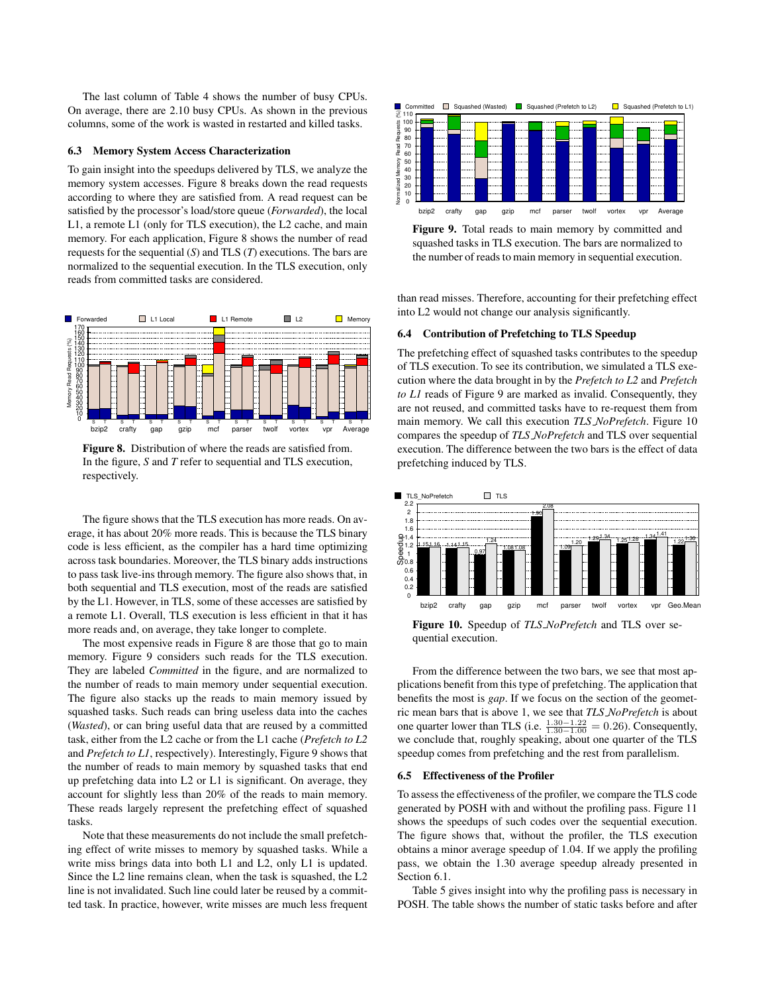The last column of Table 4 shows the number of busy CPUs. On average, there are 2.10 busy CPUs. As shown in the previous columns, some of the work is wasted in restarted and killed tasks.

## **6.3 Memory System Access Characterization**

To gain insight into the speedups delivered by TLS, we analyze the memory system accesses. Figure 8 breaks down the read requests according to where they are satisfied from. A read request can be satisfied by the processor's load/store queue (*Forwarded*), the local L1, a remote L1 (only for TLS execution), the L2 cache, and main memory. For each application, Figure 8 shows the number of read requests for the sequential (*S*) and TLS (*T*) executions. The bars are normalized to the sequential execution. In the TLS execution, only reads from committed tasks are considered.



**Figure 8.** Distribution of where the reads are satisfied from. In the figure, *S* and *T* refer to sequential and TLS execution, respectively.

The figure shows that the TLS execution has more reads. On average, it has about 20% more reads. This is because the TLS binary code is less efficient, as the compiler has a hard time optimizing across task boundaries. Moreover, the TLS binary adds instructions to pass task live-ins through memory. The figure also shows that, in both sequential and TLS execution, most of the reads are satisfied by the L1. However, in TLS, some of these accesses are satisfied by a remote L1. Overall, TLS execution is less efficient in that it has more reads and, on average, they take longer to complete.

The most expensive reads in Figure 8 are those that go to main memory. Figure 9 considers such reads for the TLS execution. They are labeled *Committed* in the figure, and are normalized to the number of reads to main memory under sequential execution. The figure also stacks up the reads to main memory issued by squashed tasks. Such reads can bring useless data into the caches (*Wasted*), or can bring useful data that are reused by a committed task, either from the L2 cache or from the L1 cache (*Prefetch to L2* and *Prefetch to L1*, respectively). Interestingly, Figure 9 shows that the number of reads to main memory by squashed tasks that end up prefetching data into L2 or L1 is significant. On average, they account for slightly less than 20% of the reads to main memory. These reads largely represent the prefetching effect of squashed tasks.

Note that these measurements do not include the small prefetching effect of write misses to memory by squashed tasks. While a write miss brings data into both L1 and L2, only L1 is updated. Since the L2 line remains clean, when the task is squashed, the L2 line is not invalidated. Such line could later be reused by a committed task. In practice, however, write misses are much less frequent



**Figure 9.** Total reads to main memory by committed and squashed tasks in TLS execution. The bars are normalized to the number of reads to main memory in sequential execution.

than read misses. Therefore, accounting for their prefetching effect into L2 would not change our analysis significantly.

## **6.4 Contribution of Prefetching to TLS Speedup**

The prefetching effect of squashed tasks contributes to the speedup of TLS execution. To see its contribution, we simulated a TLS execution where the data brought in by the *Prefetch to L2* and *Prefetch to L1* reads of Figure 9 are marked as invalid. Consequently, they are not reused, and committed tasks have to re-request them from main memory. We call this execution *TLS NoPrefetch*. Figure 10 compares the speedup of *TLS NoPrefetch* and TLS over sequential execution. The difference between the two bars is the effect of data prefetching induced by TLS.



**Figure 10.** Speedup of *TLS NoPrefetch* and TLS over sequential execution.

From the difference between the two bars, we see that most applications benefit from this type of prefetching. The application that benefits the most is *gap*. If we focus on the section of the geometric mean bars that is above 1, we see that *TLS NoPrefetch* is about one quarter lower than TLS (i.e.  $\frac{1.30 - 1.22}{1.30 - 1.00} = 0.26$ ). Consequently, we conclude that, roughly speaking, about one quarter of the TLS speedup comes from prefetching and the rest from parallelism.

# **6.5 Effectiveness of the Profiler**

To assess the effectiveness of the profiler, we compare the TLS code generated by POSH with and without the profiling pass. Figure 11 shows the speedups of such codes over the sequential execution. The figure shows that, without the profiler, the TLS execution obtains a minor average speedup of 1.04. If we apply the profiling pass, we obtain the 1.30 average speedup already presented in Section 6.1.

Table 5 gives insight into why the profiling pass is necessary in POSH. The table shows the number of static tasks before and after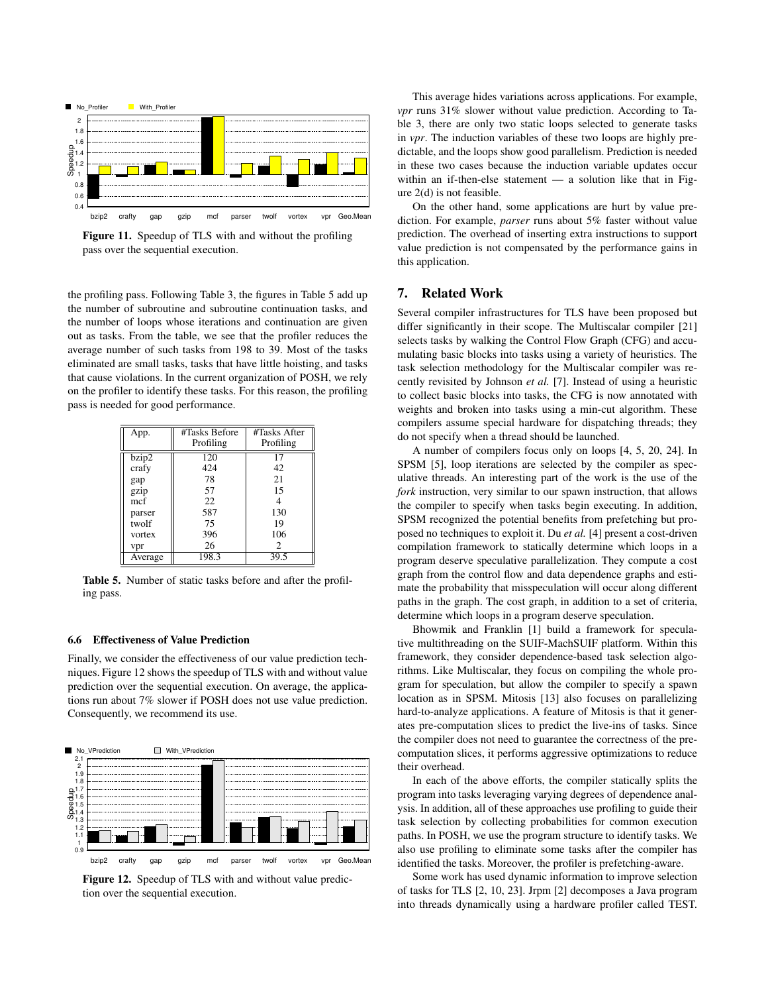

**Figure 11.** Speedup of TLS with and without the profiling pass over the sequential execution.

the profiling pass. Following Table 3, the figures in Table 5 add up the number of subroutine and subroutine continuation tasks, and the number of loops whose iterations and continuation are given out as tasks. From the table, we see that the profiler reduces the average number of such tasks from 198 to 39. Most of the tasks eliminated are small tasks, tasks that have little hoisting, and tasks that cause violations. In the current organization of POSH, we rely on the profiler to identify these tasks. For this reason, the profiling pass is needed for good performance.

| App.    | #Tasks Before<br>Profiling | #Tasks After<br>Profiling |
|---------|----------------------------|---------------------------|
|         |                            |                           |
| bzip2   | 120                        | 17                        |
| crafy   | 424                        | 42                        |
| gap     | 78                         | 21                        |
| gzip    | 57                         | 15                        |
| mcf     | 22                         |                           |
| parser  | 587                        | 130                       |
| twolf   | 75                         | 19                        |
| vortex  | 396                        | 106                       |
| vpr     | 26                         | $\mathfrak{D}$            |
| Average | 198.3                      | 39.5                      |

**Table 5.** Number of static tasks before and after the profiling pass.

# **6.6 Effectiveness of Value Prediction**

Finally, we consider the effectiveness of our value prediction techniques. Figure 12 shows the speedup of TLS with and without value prediction over the sequential execution. On average, the applications run about 7% slower if POSH does not use value prediction. Consequently, we recommend its use.



**Figure 12.** Speedup of TLS with and without value prediction over the sequential execution.

This average hides variations across applications. For example, *vpr* runs 31% slower without value prediction. According to Table 3, there are only two static loops selected to generate tasks in *vpr*. The induction variables of these two loops are highly predictable, and the loops show good parallelism. Prediction is needed in these two cases because the induction variable updates occur within an if-then-else statement — a solution like that in Figure 2(d) is not feasible.

On the other hand, some applications are hurt by value prediction. For example, *parser* runs about 5% faster without value prediction. The overhead of inserting extra instructions to support value prediction is not compensated by the performance gains in this application.

## **7. Related Work**

Several compiler infrastructures for TLS have been proposed but differ significantly in their scope. The Multiscalar compiler [21] selects tasks by walking the Control Flow Graph (CFG) and accumulating basic blocks into tasks using a variety of heuristics. The task selection methodology for the Multiscalar compiler was recently revisited by Johnson *et al.* [7]. Instead of using a heuristic to collect basic blocks into tasks, the CFG is now annotated with weights and broken into tasks using a min-cut algorithm. These compilers assume special hardware for dispatching threads; they do not specify when a thread should be launched.

A number of compilers focus only on loops [4, 5, 20, 24]. In SPSM [5], loop iterations are selected by the compiler as speculative threads. An interesting part of the work is the use of the *fork* instruction, very similar to our spawn instruction, that allows the compiler to specify when tasks begin executing. In addition, SPSM recognized the potential benefits from prefetching but proposed no techniques to exploit it. Du *et al.* [4] present a cost-driven compilation framework to statically determine which loops in a program deserve speculative parallelization. They compute a cost graph from the control flow and data dependence graphs and estimate the probability that misspeculation will occur along different paths in the graph. The cost graph, in addition to a set of criteria, determine which loops in a program deserve speculation.

Bhowmik and Franklin [1] build a framework for speculative multithreading on the SUIF-MachSUIF platform. Within this framework, they consider dependence-based task selection algorithms. Like Multiscalar, they focus on compiling the whole program for speculation, but allow the compiler to specify a spawn location as in SPSM. Mitosis [13] also focuses on parallelizing hard-to-analyze applications. A feature of Mitosis is that it generates pre-computation slices to predict the live-ins of tasks. Since the compiler does not need to guarantee the correctness of the precomputation slices, it performs aggressive optimizations to reduce their overhead.

In each of the above efforts, the compiler statically splits the program into tasks leveraging varying degrees of dependence analysis. In addition, all of these approaches use profiling to guide their task selection by collecting probabilities for common execution paths. In POSH, we use the program structure to identify tasks. We also use profiling to eliminate some tasks after the compiler has identified the tasks. Moreover, the profiler is prefetching-aware.

Some work has used dynamic information to improve selection of tasks for TLS [2, 10, 23]. Jrpm [2] decomposes a Java program into threads dynamically using a hardware profiler called TEST.